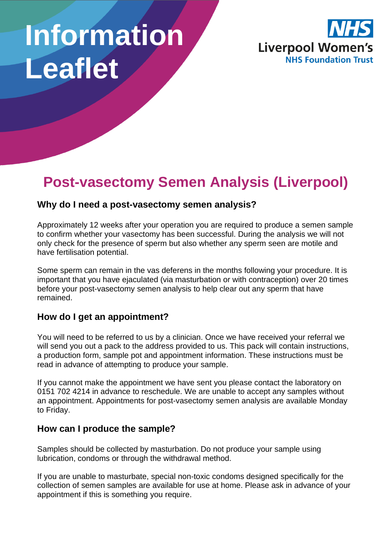# **Information Leaflet**



# **Post-vasectomy Semen Analysis (Liverpool)**

# **Why do I need a post-vasectomy semen analysis?**

Approximately 12 weeks after your operation you are required to produce a semen sample to confirm whether your vasectomy has been successful. During the analysis we will not only check for the presence of sperm but also whether any sperm seen are motile and have fertilisation potential.

Some sperm can remain in the vas deferens in the months following your procedure. It is important that you have ejaculated (via masturbation or with contraception) over 20 times before your post-vasectomy semen analysis to help clear out any sperm that have remained.

#### **How do I get an appointment?**

You will need to be referred to us by a clinician. Once we have received your referral we will send you out a pack to the address provided to us. This pack will contain instructions, a production form, sample pot and appointment information. These instructions must be read in advance of attempting to produce your sample.

If you cannot make the appointment we have sent you please contact the laboratory on 0151 702 4214 in advance to reschedule. We are unable to accept any samples without an appointment. Appointments for post-vasectomy semen analysis are available Monday to Friday.

# **How can I produce the sample?**

Samples should be collected by masturbation. Do not produce your sample using lubrication, condoms or through the withdrawal method.

If you are unable to masturbate, special non-toxic condoms designed specifically for the collection of semen samples are available for use at home. Please ask in advance of your appointment if this is something you require.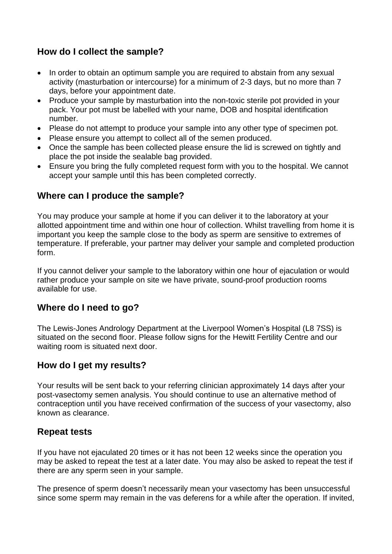# **How do I collect the sample?**

- In order to obtain an optimum sample you are required to abstain from any sexual activity (masturbation or intercourse) for a minimum of 2-3 days, but no more than 7 days, before your appointment date.
- Produce your sample by masturbation into the non-toxic sterile pot provided in your pack. Your pot must be labelled with your name, DOB and hospital identification number.
- Please do not attempt to produce your sample into any other type of specimen pot.
- Please ensure you attempt to collect all of the semen produced.
- Once the sample has been collected please ensure the lid is screwed on tightly and place the pot inside the sealable bag provided.
- Ensure you bring the fully completed request form with you to the hospital. We cannot accept your sample until this has been completed correctly.

# **Where can I produce the sample?**

You may produce your sample at home if you can deliver it to the laboratory at your allotted appointment time and within one hour of collection. Whilst travelling from home it is important you keep the sample close to the body as sperm are sensitive to extremes of temperature. If preferable, your partner may deliver your sample and completed production form.

If you cannot deliver your sample to the laboratory within one hour of ejaculation or would rather produce your sample on site we have private, sound-proof production rooms available for use.

#### **Where do I need to go?**

The Lewis-Jones Andrology Department at the Liverpool Women's Hospital (L8 7SS) is situated on the second floor. Please follow signs for the Hewitt Fertility Centre and our waiting room is situated next door.

# **How do I get my results?**

Your results will be sent back to your referring clinician approximately 14 days after your post-vasectomy semen analysis. You should continue to use an alternative method of contraception until you have received confirmation of the success of your vasectomy, also known as clearance.

#### **Repeat tests**

If you have not ejaculated 20 times or it has not been 12 weeks since the operation you may be asked to repeat the test at a later date. You may also be asked to repeat the test if there are any sperm seen in your sample.

The presence of sperm doesn't necessarily mean your vasectomy has been unsuccessful since some sperm may remain in the vas deferens for a while after the operation. If invited,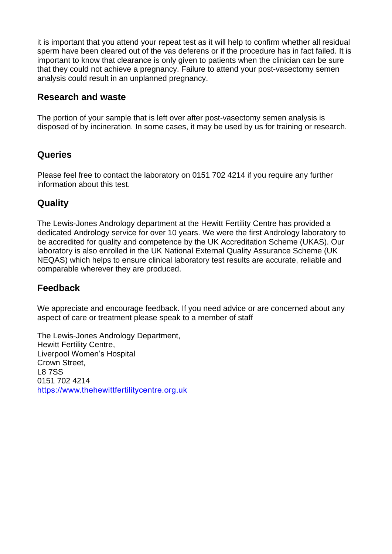it is important that you attend your repeat test as it will help to confirm whether all residual sperm have been cleared out of the vas deferens or if the procedure has in fact failed. It is important to know that clearance is only given to patients when the clinician can be sure that they could not achieve a pregnancy. Failure to attend your post-vasectomy semen analysis could result in an unplanned pregnancy.

# **Research and waste**

The portion of your sample that is left over after post-vasectomy semen analysis is disposed of by incineration. In some cases, it may be used by us for training or research.

# **Queries**

Please feel free to contact the laboratory on 0151 702 4214 if you require any further information about this test.

# **Quality**

The Lewis-Jones Andrology department at the Hewitt Fertility Centre has provided a dedicated Andrology service for over 10 years. We were the first Andrology laboratory to be accredited for quality and competence by the UK Accreditation Scheme (UKAS). Our laboratory is also enrolled in the UK National External Quality Assurance Scheme (UK NEQAS) which helps to ensure clinical laboratory test results are accurate, reliable and comparable wherever they are produced.

#### **Feedback**

We appreciate and encourage feedback. If you need advice or are concerned about any aspect of care or treatment please speak to a member of staff

The Lewis-Jones Andrology Department, Hewitt Fertility Centre, Liverpool Women's Hospital Crown Street, L8 7SS 0151 702 4214 [https://www.thehewittfertilitycentre.org.uk](https://www.thehewittfertilitycentre.org.uk/)